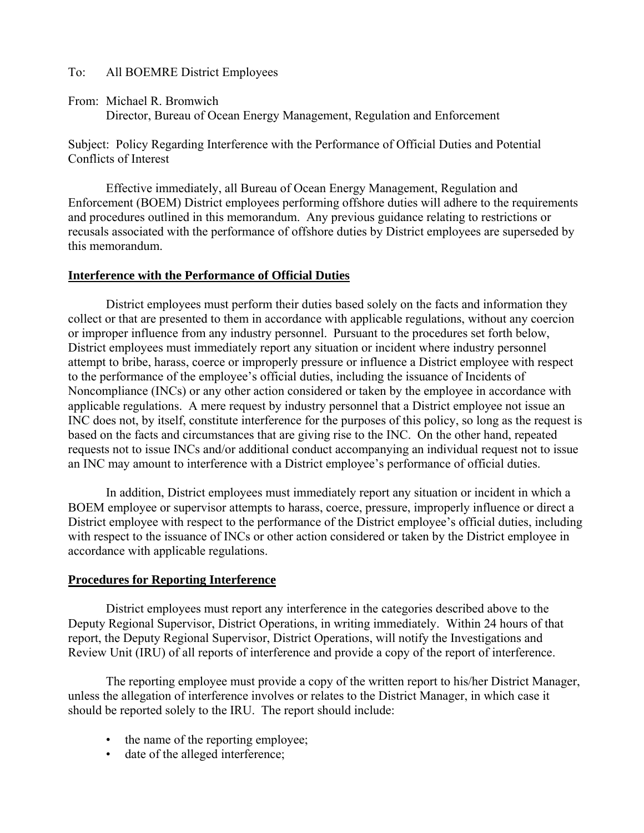### To: All BOEMRE District Employees

From: Michael R. Bromwich

Director, Bureau of Ocean Energy Management, Regulation and Enforcement

Subject: Policy Regarding Interference with the Performance of Official Duties and Potential Conflicts of Interest

Effective immediately, all Bureau of Ocean Energy Management, Regulation and Enforcement (BOEM) District employees performing offshore duties will adhere to the requirements and procedures outlined in this memorandum. Any previous guidance relating to restrictions or recusals associated with the performance of offshore duties by District employees are superseded by this memorandum.

### **Interference with the Performance of Official Duties**

District employees must perform their duties based solely on the facts and information they collect or that are presented to them in accordance with applicable regulations, without any coercion or improper influence from any industry personnel. Pursuant to the procedures set forth below, District employees must immediately report any situation or incident where industry personnel attempt to bribe, harass, coerce or improperly pressure or influence a District employee with respect to the performance of the employee's official duties, including the issuance of Incidents of Noncompliance (INCs) or any other action considered or taken by the employee in accordance with applicable regulations. A mere request by industry personnel that a District employee not issue an INC does not, by itself, constitute interference for the purposes of this policy, so long as the request is based on the facts and circumstances that are giving rise to the INC. On the other hand, repeated requests not to issue INCs and/or additional conduct accompanying an individual request not to issue an INC may amount to interference with a District employee's performance of official duties.

In addition, District employees must immediately report any situation or incident in which a BOEM employee or supervisor attempts to harass, coerce, pressure, improperly influence or direct a District employee with respect to the performance of the District employee's official duties, including with respect to the issuance of INCs or other action considered or taken by the District employee in accordance with applicable regulations.

# **Procedures for Reporting Interference**

District employees must report any interference in the categories described above to the Deputy Regional Supervisor, District Operations, in writing immediately. Within 24 hours of that report, the Deputy Regional Supervisor, District Operations, will notify the Investigations and Review Unit (IRU) of all reports of interference and provide a copy of the report of interference.

The reporting employee must provide a copy of the written report to his/her District Manager, unless the allegation of interference involves or relates to the District Manager, in which case it should be reported solely to the IRU. The report should include:

- the name of the reporting employee;
- date of the alleged interference;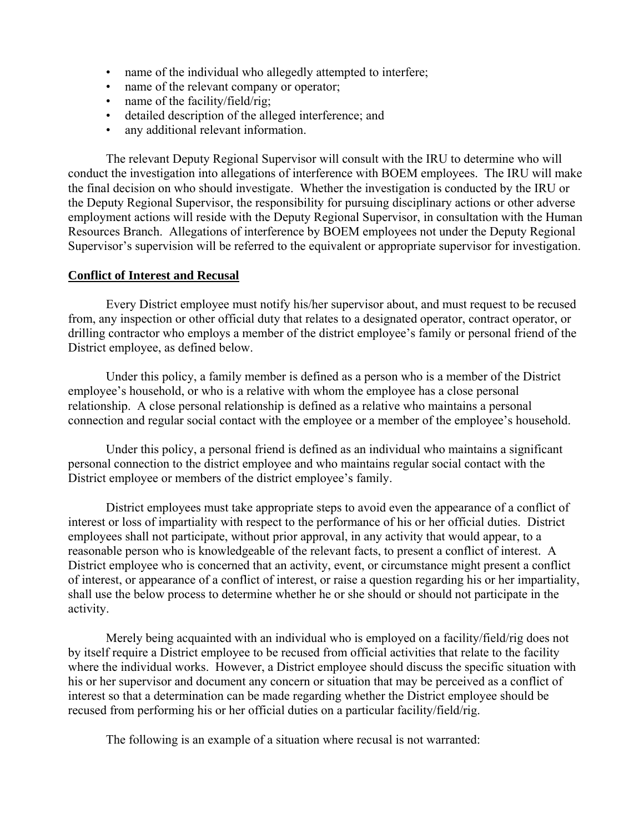- name of the individual who allegedly attempted to interfere;
- name of the relevant company or operator;
- name of the facility/field/rig;
- detailed description of the alleged interference; and
- any additional relevant information.

The relevant Deputy Regional Supervisor will consult with the IRU to determine who will conduct the investigation into allegations of interference with BOEM employees. The IRU will make the final decision on who should investigate. Whether the investigation is conducted by the IRU or the Deputy Regional Supervisor, the responsibility for pursuing disciplinary actions or other adverse employment actions will reside with the Deputy Regional Supervisor, in consultation with the Human Resources Branch. Allegations of interference by BOEM employees not under the Deputy Regional Supervisor's supervision will be referred to the equivalent or appropriate supervisor for investigation.

#### **Conflict of Interest and Recusal**

Every District employee must notify his/her supervisor about, and must request to be recused from, any inspection or other official duty that relates to a designated operator, contract operator, or drilling contractor who employs a member of the district employee's family or personal friend of the District employee, as defined below.

Under this policy, a family member is defined as a person who is a member of the District employee's household, or who is a relative with whom the employee has a close personal relationship. A close personal relationship is defined as a relative who maintains a personal connection and regular social contact with the employee or a member of the employee's household.

Under this policy, a personal friend is defined as an individual who maintains a significant personal connection to the district employee and who maintains regular social contact with the District employee or members of the district employee's family.

District employees must take appropriate steps to avoid even the appearance of a conflict of interest or loss of impartiality with respect to the performance of his or her official duties. District employees shall not participate, without prior approval, in any activity that would appear, to a reasonable person who is knowledgeable of the relevant facts, to present a conflict of interest. A District employee who is concerned that an activity, event, or circumstance might present a conflict of interest, or appearance of a conflict of interest, or raise a question regarding his or her impartiality, shall use the below process to determine whether he or she should or should not participate in the activity.

Merely being acquainted with an individual who is employed on a facility/field/rig does not by itself require a District employee to be recused from official activities that relate to the facility where the individual works. However, a District employee should discuss the specific situation with his or her supervisor and document any concern or situation that may be perceived as a conflict of interest so that a determination can be made regarding whether the District employee should be recused from performing his or her official duties on a particular facility/field/rig.

The following is an example of a situation where recusal is not warranted: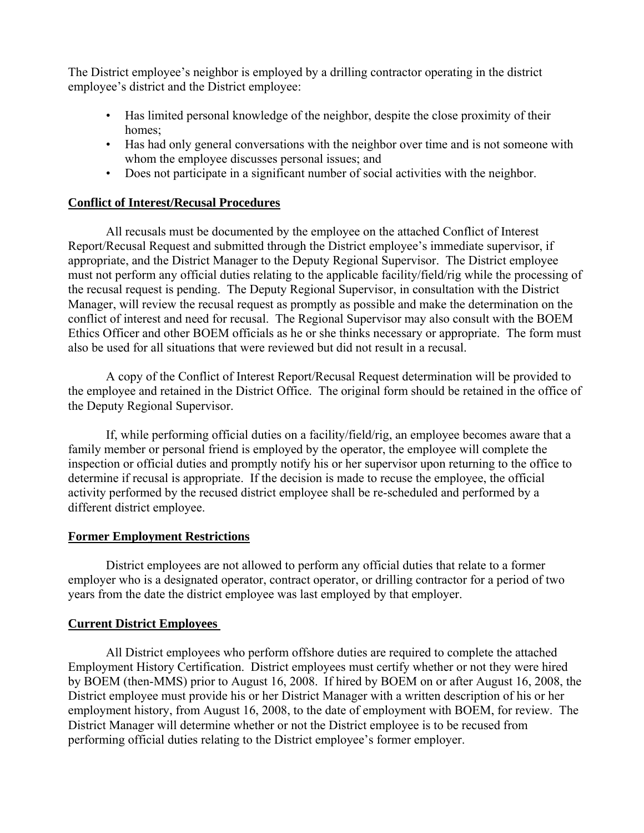The District employee's neighbor is employed by a drilling contractor operating in the district employee's district and the District employee:

- Has limited personal knowledge of the neighbor, despite the close proximity of their homes:
- Has had only general conversations with the neighbor over time and is not someone with whom the employee discusses personal issues; and
- Does not participate in a significant number of social activities with the neighbor.

# **Conflict of Interest/Recusal Procedures**

All recusals must be documented by the employee on the attached Conflict of Interest Report/Recusal Request and submitted through the District employee's immediate supervisor, if appropriate, and the District Manager to the Deputy Regional Supervisor. The District employee must not perform any official duties relating to the applicable facility/field/rig while the processing of the recusal request is pending. The Deputy Regional Supervisor, in consultation with the District Manager, will review the recusal request as promptly as possible and make the determination on the conflict of interest and need for recusal. The Regional Supervisor may also consult with the BOEM Ethics Officer and other BOEM officials as he or she thinks necessary or appropriate. The form must also be used for all situations that were reviewed but did not result in a recusal.

A copy of the Conflict of Interest Report/Recusal Request determination will be provided to the employee and retained in the District Office. The original form should be retained in the office of the Deputy Regional Supervisor.

If, while performing official duties on a facility/field/rig, an employee becomes aware that a family member or personal friend is employed by the operator, the employee will complete the inspection or official duties and promptly notify his or her supervisor upon returning to the office to determine if recusal is appropriate. If the decision is made to recuse the employee, the official activity performed by the recused district employee shall be re-scheduled and performed by a different district employee.

# **Former Employment Restrictions**

District employees are not allowed to perform any official duties that relate to a former employer who is a designated operator, contract operator, or drilling contractor for a period of two years from the date the district employee was last employed by that employer.

# **Current District Employees**

All District employees who perform offshore duties are required to complete the attached Employment History Certification. District employees must certify whether or not they were hired by BOEM (then-MMS) prior to August 16, 2008. If hired by BOEM on or after August 16, 2008, the District employee must provide his or her District Manager with a written description of his or her employment history, from August 16, 2008, to the date of employment with BOEM, for review. The District Manager will determine whether or not the District employee is to be recused from performing official duties relating to the District employee's former employer.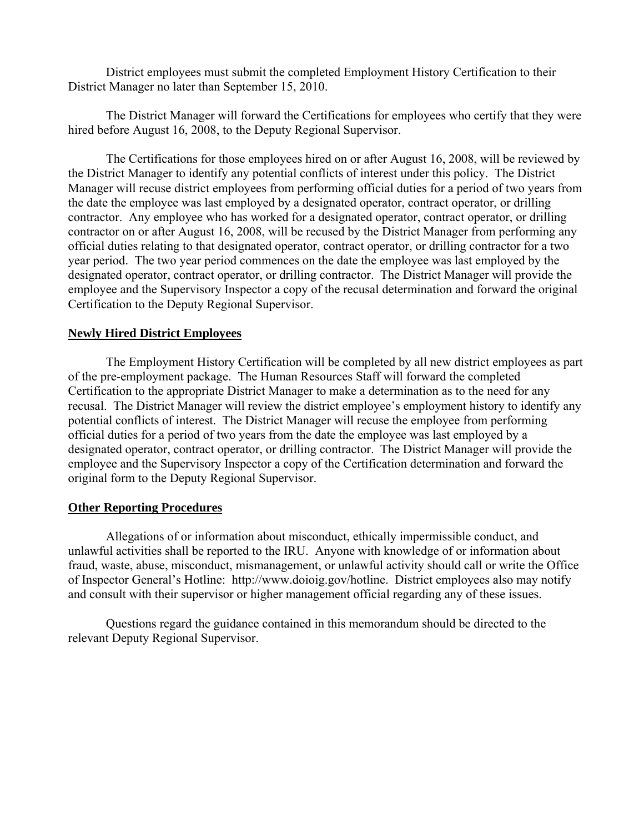District employees must submit the completed Employment History Certification to their District Manager no later than September 15, 2010.

The District Manager will forward the Certifications for employees who certify that they were hired before August 16, 2008, to the Deputy Regional Supervisor.

The Certifications for those employees hired on or after August 16, 2008, will be reviewed by the District Manager to identify any potential conflicts of interest under this policy. The District Manager will recuse district employees from performing official duties for a period of two years from the date the employee was last employed by a designated operator, contract operator, or drilling contractor. Any employee who has worked for a designated operator, contract operator, or drilling contractor on or after August 16, 2008, will be recused by the District Manager from performing any official duties relating to that designated operator, contract operator, or drilling contractor for a two year period. The two year period commences on the date the employee was last employed by the designated operator, contract operator, or drilling contractor. The District Manager will provide the employee and the Supervisory Inspector a copy of the recusal determination and forward the original Certification to the Deputy Regional Supervisor.

#### **Newly Hired District Employees**

The Employment History Certification will be completed by all new district employees as part of the pre-employment package. The Human Resources Staff will forward the completed Certification to the appropriate District Manager to make a determination as to the need for any recusal. The District Manager will review the district employee's employment history to identify any potential conflicts of interest. The District Manager will recuse the employee from performing official duties for a period of two years from the date the employee was last employed by a designated operator, contract operator, or drilling contractor. The District Manager will provide the employee and the Supervisory Inspector a copy of the Certification determination and forward the original form to the Deputy Regional Supervisor.

#### **Other Reporting Procedures**

Allegations of or information about misconduct, ethically impermissible conduct, and unlawful activities shall be reported to the IRU. Anyone with knowledge of or information about fraud, waste, abuse, misconduct, mismanagement, or unlawful activity should call or write the Office of Inspector General's Hotline: http://www.doioig.gov/hotline. District employees also may notify and consult with their supervisor or higher management official regarding any of these issues.

Questions regard the guidance contained in this memorandum should be directed to the relevant Deputy Regional Supervisor.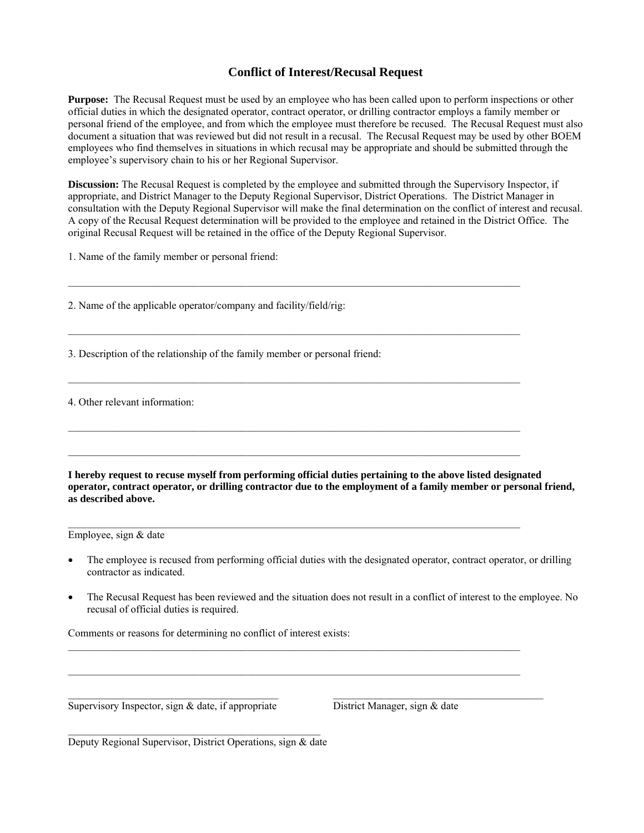### **Conflict of Interest/Recusal Request**

**Purpose:** The Recusal Request must be used by an employee who has been called upon to perform inspections or other official duties in which the designated operator, contract operator, or drilling contractor employs a family member or personal friend of the employee, and from which the employee must therefore be recused. The Recusal Request must also document a situation that was reviewed but did not result in a recusal. The Recusal Request may be used by other BOEM employees who find themselves in situations in which recusal may be appropriate and should be submitted through the employee's supervisory chain to his or her Regional Supervisor.

**Discussion:** The Recusal Request is completed by the employee and submitted through the Supervisory Inspector, if appropriate, and District Manager to the Deputy Regional Supervisor, District Operations. The District Manager in consultation with the Deputy Regional Supervisor will make the final determination on the conflict of interest and recusal. A copy of the Recusal Request determination will be provided to the employee and retained in the District Office. The original Recusal Request will be retained in the office of the Deputy Regional Supervisor.

 $\_$  , and the state of the state of the state of the state of the state of the state of the state of the state of the state of the state of the state of the state of the state of the state of the state of the state of the

 $\_$  , and the state of the state of the state of the state of the state of the state of the state of the state of the state of the state of the state of the state of the state of the state of the state of the state of the

 $\mathcal{L}_\text{max}$ 

 $\mathcal{L}_\text{max}$ 

 $\mathcal{L}_\text{max}$ 

 $\_$  , and the state of the state of the state of the state of the state of the state of the state of the state of the state of the state of the state of the state of the state of the state of the state of the state of the

1. Name of the family member or personal friend:

2. Name of the applicable operator/company and facility/field/rig:

3. Description of the relationship of the family member or personal friend:

4. Other relevant information:

**I hereby request to recuse myself from performing official duties pertaining to the above listed designated operator, contract operator, or drilling contractor due to the employment of a family member or personal friend, as described above.** 

Employee, sign & date

- The employee is recused from performing official duties with the designated operator, contract operator, or drilling contractor as indicated.
- The Recusal Request has been reviewed and the situation does not result in a conflict of interest to the employee. No recusal of official duties is required.

Comments or reasons for determining no conflict of interest exists:

 $\overline{\text{Supervisory Inspector, sign } \& \text{ date, if appropriate}}$  District Manager, sign  $\&$  date

 $\mathcal{L}_\text{max}$  and  $\mathcal{L}_\text{max}$  and  $\mathcal{L}_\text{max}$  and  $\mathcal{L}_\text{max}$  and  $\mathcal{L}_\text{max}$ Deputy Regional Supervisor, District Operations, sign & date